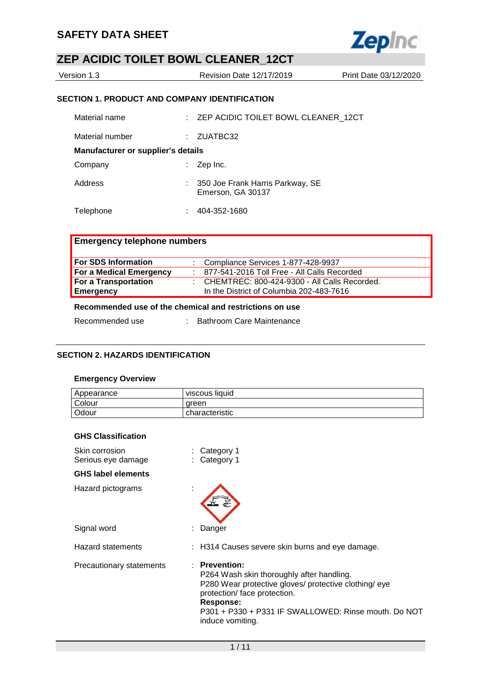

| Version 1.3 | Revision Date 12/17/2019 | Print Date 03/12/2020 |
|-------------|--------------------------|-----------------------|
|             |                          |                       |

## **SECTION 1. PRODUCT AND COMPANY IDENTIFICATION**

| Material name                             | : ZEP ACIDIC TOILET BOWL CLEANER 12CT                   |
|-------------------------------------------|---------------------------------------------------------|
| Material number                           | : ZUATBC32                                              |
| <b>Manufacturer or supplier's details</b> |                                                         |
| Company                                   | $\therefore$ Zep Inc.                                   |
| Address                                   | : 350 Joe Frank Harris Parkway, SE<br>Emerson, GA 30137 |
| Telephone                                 | 404-352-1680                                            |

## **Emergency telephone numbers**

| For SDS Information     | : Compliance Services 1-877-428-9937           |
|-------------------------|------------------------------------------------|
| For a Medical Emergency | 877-541-2016 Toll Free - All Calls Recorded    |
| For a Transportation    | : CHEMTREC: 800-424-9300 - All Calls Recorded. |
| Emergency               | In the District of Columbia 202-483-7616       |
|                         |                                                |

## **Recommended use of the chemical and restrictions on use**

| Bathroom Care Maintenance |
|---------------------------|
|                           |

#### **SECTION 2. HAZARDS IDENTIFICATION**

#### **Emergency Overview**

| Appearance | viscous liquid |
|------------|----------------|
| Colour     | areen          |
| Odour      | characteristic |

#### **GHS Classification**

| Skin corrosion<br>Serious eye damage |   | Category 1<br>: Category 1                                                                                                                                                                                                                   |
|--------------------------------------|---|----------------------------------------------------------------------------------------------------------------------------------------------------------------------------------------------------------------------------------------------|
| <b>GHS label elements</b>            |   |                                                                                                                                                                                                                                              |
| Hazard pictograms                    |   |                                                                                                                                                                                                                                              |
| Signal word                          | t | Danger                                                                                                                                                                                                                                       |
| <b>Hazard statements</b>             |   | : H314 Causes severe skin burns and eye damage.                                                                                                                                                                                              |
| Precautionary statements             |   | : Prevention:<br>P264 Wash skin thoroughly after handling.<br>P280 Wear protective gloves/ protective clothing/ eye<br>protection/ face protection.<br>Response:<br>P301 + P330 + P331 IF SWALLOWED: Rinse mouth. Do NOT<br>induce vomiting. |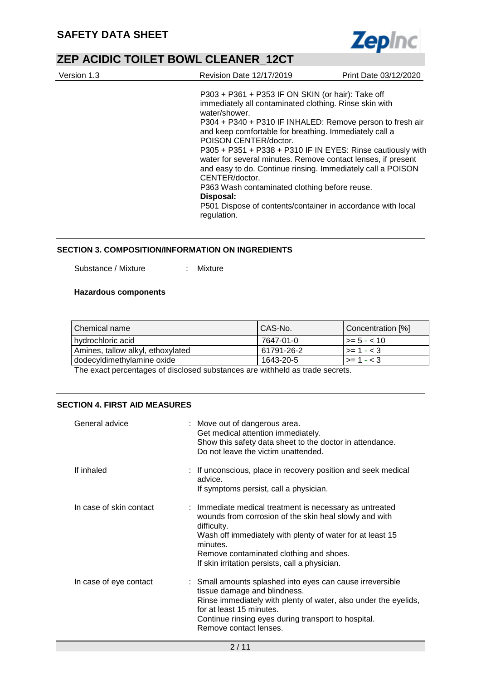

| Version 1.3 | Revision Date 12/17/2019                                                                                                                                                                                                                                                                                                                                                                                                                                                                                                                                                                                                  | Print Date 03/12/2020 |
|-------------|---------------------------------------------------------------------------------------------------------------------------------------------------------------------------------------------------------------------------------------------------------------------------------------------------------------------------------------------------------------------------------------------------------------------------------------------------------------------------------------------------------------------------------------------------------------------------------------------------------------------------|-----------------------|
|             | P303 + P361 + P353 IF ON SKIN (or hair): Take off<br>immediately all contaminated clothing. Rinse skin with<br>water/shower.<br>P304 + P340 + P310 IF INHALED: Remove person to fresh air<br>and keep comfortable for breathing. Immediately call a<br>POISON CENTER/doctor.<br>P305 + P351 + P338 + P310 IF IN EYES: Rinse cautiously with<br>water for several minutes. Remove contact lenses, if present<br>and easy to do. Continue rinsing. Immediately call a POISON<br>CENTER/doctor.<br>P363 Wash contaminated clothing before reuse.<br>Disposal:<br>P501 Dispose of contents/container in accordance with local |                       |
|             | regulation.                                                                                                                                                                                                                                                                                                                                                                                                                                                                                                                                                                                                               |                       |

#### **SECTION 3. COMPOSITION/INFORMATION ON INGREDIENTS**

Substance / Mixture : Mixture

#### **Hazardous components**

| ' Chemical name                   | CAS-No.    | Concentration [%] |
|-----------------------------------|------------|-------------------|
| l hvdrochloric acid               | 7647-01-0  | $\ge$ = 5 - < 10  |
| Amines, tallow alkyl, ethoxylated | 61791-26-2 | $>= 1 - < 3$      |
| dodecyldimethylamine oxide        | 1643-20-5  | $>= 1 - < 3$      |

The exact percentages of disclosed substances are withheld as trade secrets.

#### **SECTION 4. FIRST AID MEASURES**

| General advice          | : Move out of dangerous area.<br>Get medical attention immediately.<br>Show this safety data sheet to the doctor in attendance.<br>Do not leave the victim unattended.                                                                                                                                 |
|-------------------------|--------------------------------------------------------------------------------------------------------------------------------------------------------------------------------------------------------------------------------------------------------------------------------------------------------|
| If inhaled              | : If unconscious, place in recovery position and seek medical<br>advice.<br>If symptoms persist, call a physician.                                                                                                                                                                                     |
| In case of skin contact | : Immediate medical treatment is necessary as untreated<br>wounds from corrosion of the skin heal slowly and with<br>difficulty.<br>Wash off immediately with plenty of water for at least 15<br>minutes.<br>Remove contaminated clothing and shoes.<br>If skin irritation persists, call a physician. |
| In case of eye contact  | : Small amounts splashed into eyes can cause irreversible<br>tissue damage and blindness.<br>Rinse immediately with plenty of water, also under the eyelids,<br>for at least 15 minutes.<br>Continue rinsing eyes during transport to hospital.<br>Remove contact lenses.                              |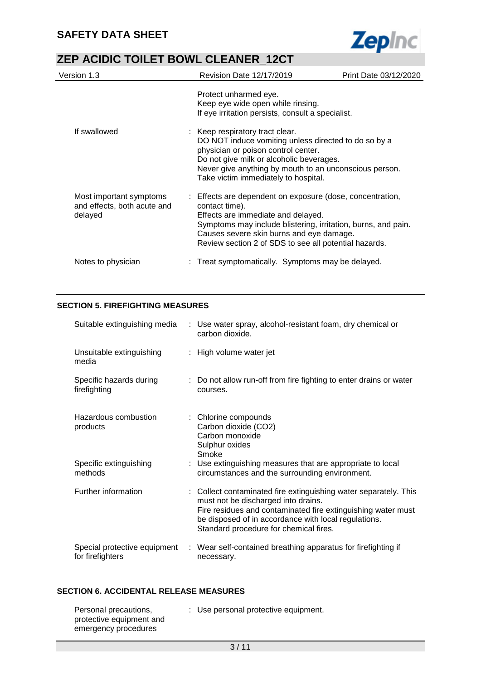

| Version 1.3                                                       | <b>Revision Date 12/17/2019</b>                                                                                                                                                                                                                                                         | Print Date 03/12/2020 |
|-------------------------------------------------------------------|-----------------------------------------------------------------------------------------------------------------------------------------------------------------------------------------------------------------------------------------------------------------------------------------|-----------------------|
|                                                                   | Protect unharmed eye.<br>Keep eye wide open while rinsing.<br>If eye irritation persists, consult a specialist.                                                                                                                                                                         |                       |
| If swallowed                                                      | : Keep respiratory tract clear.<br>DO NOT induce vomiting unless directed to do so by a<br>physician or poison control center.<br>Do not give milk or alcoholic beverages.<br>Never give anything by mouth to an unconscious person.<br>Take victim immediately to hospital.            |                       |
| Most important symptoms<br>and effects, both acute and<br>delayed | : Effects are dependent on exposure (dose, concentration,<br>contact time).<br>Effects are immediate and delayed.<br>Symptoms may include blistering, irritation, burns, and pain.<br>Causes severe skin burns and eye damage.<br>Review section 2 of SDS to see all potential hazards. |                       |
| Notes to physician                                                | Treat symptomatically. Symptoms may be delayed.                                                                                                                                                                                                                                         |                       |

## **SECTION 5. FIREFIGHTING MEASURES**

| Suitable extinguishing media                     | : Use water spray, alcohol-resistant foam, dry chemical or<br>carbon dioxide.                                                                                                                                                                                             |
|--------------------------------------------------|---------------------------------------------------------------------------------------------------------------------------------------------------------------------------------------------------------------------------------------------------------------------------|
| Unsuitable extinguishing<br>media                | : High volume water jet                                                                                                                                                                                                                                                   |
| Specific hazards during<br>firefighting          | : Do not allow run-off from fire fighting to enter drains or water<br>courses.                                                                                                                                                                                            |
| Hazardous combustion<br>products                 | : Chlorine compounds<br>Carbon dioxide (CO2)<br>Carbon monoxide<br>Sulphur oxides<br>Smoke                                                                                                                                                                                |
| Specific extinguishing<br>methods                | : Use extinguishing measures that are appropriate to local<br>circumstances and the surrounding environment.                                                                                                                                                              |
| Further information                              | : Collect contaminated fire extinguishing water separately. This<br>must not be discharged into drains.<br>Fire residues and contaminated fire extinguishing water must<br>be disposed of in accordance with local regulations.<br>Standard procedure for chemical fires. |
| Special protective equipment<br>for firefighters | : Wear self-contained breathing apparatus for firefighting if<br>necessary.                                                                                                                                                                                               |

## **SECTION 6. ACCIDENTAL RELEASE MEASURES**

| Personal precautions,<br>protective equipment and | : Use personal protective equipment. |
|---------------------------------------------------|--------------------------------------|
| emergency procedures                              |                                      |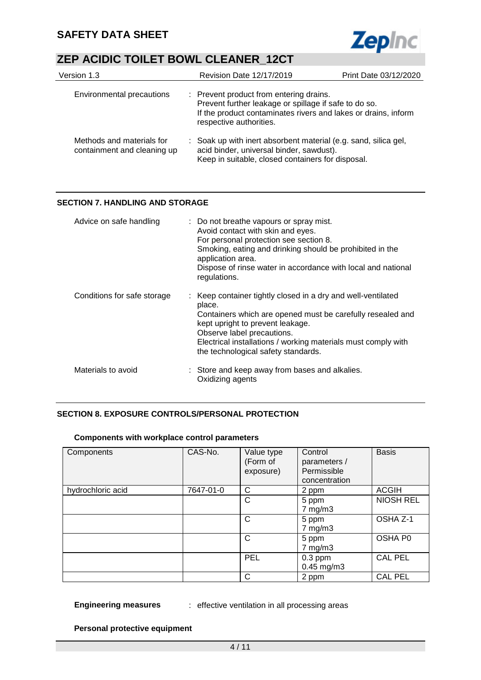

| Version 1.3                                              | <b>Revision Date 12/17/2019</b>                                                                                                                                                               | Print Date 03/12/2020 |  |
|----------------------------------------------------------|-----------------------------------------------------------------------------------------------------------------------------------------------------------------------------------------------|-----------------------|--|
| Environmental precautions                                | : Prevent product from entering drains.<br>Prevent further leakage or spillage if safe to do so.<br>If the product contaminates rivers and lakes or drains, inform<br>respective authorities. |                       |  |
| Methods and materials for<br>containment and cleaning up | : Soak up with inert absorbent material (e.g. sand, silica gel,<br>acid binder, universal binder, sawdust).<br>Keep in suitable, closed containers for disposal.                              |                       |  |

## **SECTION 7. HANDLING AND STORAGE**

| Advice on safe handling     | : Do not breathe vapours or spray mist.<br>Avoid contact with skin and eyes.<br>For personal protection see section 8.<br>Smoking, eating and drinking should be prohibited in the<br>application area.<br>Dispose of rinse water in accordance with local and national<br>regulations.                        |
|-----------------------------|----------------------------------------------------------------------------------------------------------------------------------------------------------------------------------------------------------------------------------------------------------------------------------------------------------------|
| Conditions for safe storage | : Keep container tightly closed in a dry and well-ventilated<br>place.<br>Containers which are opened must be carefully resealed and<br>kept upright to prevent leakage.<br>Observe label precautions.<br>Electrical installations / working materials must comply with<br>the technological safety standards. |
| Materials to avoid          | : Store and keep away from bases and alkalies.<br>Oxidizing agents                                                                                                                                                                                                                                             |

## **SECTION 8. EXPOSURE CONTROLS/PERSONAL PROTECTION**

#### **Components with workplace control parameters**

| Components        | CAS-No.   | Value type<br>(Form of<br>exposure) | Control<br>parameters /<br>Permissible<br>concentration | <b>Basis</b>     |
|-------------------|-----------|-------------------------------------|---------------------------------------------------------|------------------|
| hydrochloric acid | 7647-01-0 | C                                   | 2 ppm                                                   | <b>ACGIH</b>     |
|                   |           | C                                   | 5 ppm<br>$7$ mg/m $3$                                   | <b>NIOSH REL</b> |
|                   |           | C                                   | 5 ppm<br>$7$ mg/m $3$                                   | OSHA Z-1         |
|                   |           | C                                   | 5 ppm<br>$7$ mg/m $3$                                   | OSHA P0          |
|                   |           | PEL                                 | $0.3$ ppm<br>$0.45$ mg/m3                               | <b>CAL PEL</b>   |
|                   |           | C                                   | 2 ppm                                                   | <b>CAL PEL</b>   |

#### **Engineering measures** : effective ventilation in all processing areas

#### **Personal protective equipment**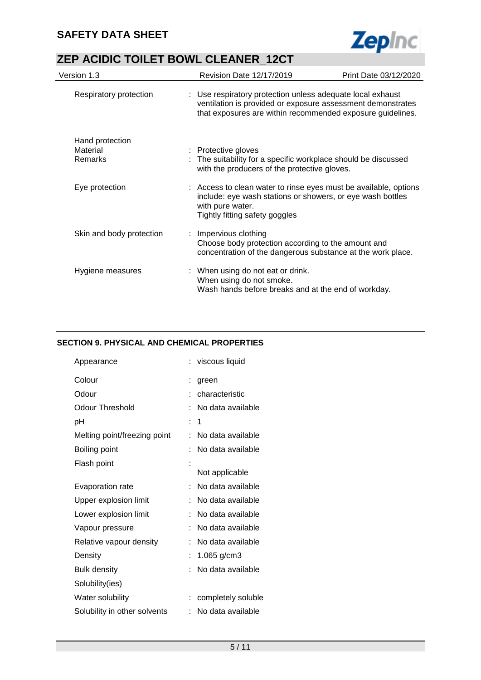

| Version 1.3              | Revision Date 12/17/2019                                                                                                                                                                | Print Date 03/12/2020 |
|--------------------------|-----------------------------------------------------------------------------------------------------------------------------------------------------------------------------------------|-----------------------|
| Respiratory protection   | : Use respiratory protection unless adequate local exhaust<br>ventilation is provided or exposure assessment demonstrates<br>that exposures are within recommended exposure guidelines. |                       |
| Hand protection          |                                                                                                                                                                                         |                       |
| Material<br>Remarks      | : Protective gloves<br>: The suitability for a specific workplace should be discussed<br>with the producers of the protective gloves.                                                   |                       |
| Eye protection           | : Access to clean water to rinse eyes must be available, options<br>include: eye wash stations or showers, or eye wash bottles<br>with pure water.<br>Tightly fitting safety goggles    |                       |
| Skin and body protection | : Impervious clothing<br>Choose body protection according to the amount and<br>concentration of the dangerous substance at the work place.                                              |                       |
| Hygiene measures         | : When using do not eat or drink.<br>When using do not smoke.<br>Wash hands before breaks and at the end of workday.                                                                    |                       |

## **SECTION 9. PHYSICAL AND CHEMICAL PROPERTIES**

|   | viscous liquid     |
|---|--------------------|
| t | green              |
|   | characteristic     |
|   | No data available  |
| t | 1                  |
| t | No data available  |
|   | No data available  |
|   |                    |
|   | Not applicable     |
| t | No data available  |
| t | No data available  |
|   | No data available  |
| t | No data available  |
| t | No data available  |
| t | 1.065 $g/cm3$      |
|   | No data available  |
|   |                    |
|   | completely soluble |
|   | No data available  |
|   |                    |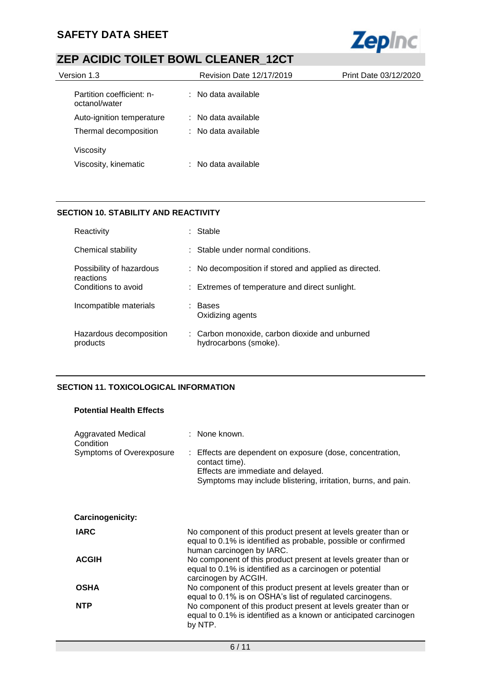

| Version 1.3                                | <b>Revision Date 12/17/2019</b> | Print Date 03/12/2020 |
|--------------------------------------------|---------------------------------|-----------------------|
| Partition coefficient: n-<br>octanol/water | $\therefore$ No data available  |                       |
| Auto-ignition temperature                  | $\therefore$ No data available  |                       |
| Thermal decomposition                      | $\therefore$ No data available  |                       |
| Viscosity                                  |                                 |                       |
| Viscosity, kinematic                       | $\therefore$ No data available  |                       |

## **SECTION 10. STABILITY AND REACTIVITY**

| Reactivity                            | : Stable                                                                |
|---------------------------------------|-------------------------------------------------------------------------|
| Chemical stability                    | : Stable under normal conditions.                                       |
| Possibility of hazardous<br>reactions | : No decomposition if stored and applied as directed.                   |
| Conditions to avoid                   | : Extremes of temperature and direct sunlight.                          |
| Incompatible materials                | Bases<br>Oxidizing agents                                               |
| Hazardous decomposition<br>products   | : Carbon monoxide, carbon dioxide and unburned<br>hydrocarbons (smoke). |

## **SECTION 11. TOXICOLOGICAL INFORMATION**

### **Potential Health Effects**

| <b>Aggravated Medical</b><br>Condition | : None known.                                                                                                                                                                      |
|----------------------------------------|------------------------------------------------------------------------------------------------------------------------------------------------------------------------------------|
| Symptoms of Overexposure               | : Effects are dependent on exposure (dose, concentration,<br>contact time).<br>Effects are immediate and delayed.<br>Symptoms may include blistering, irritation, burns, and pain. |
| Carcinogenicity:                       |                                                                                                                                                                                    |
| <b>IARC</b>                            | No component of this product present at levels greater than or<br>equal to 0.1% is identified as probable, possible or confirmed<br>human carcinogen by IARC.                      |
| <b>ACGIH</b>                           | No component of this product present at levels greater than or<br>equal to 0.1% is identified as a carcinogen or potential<br>carcinogen by ACGIH.                                 |
| <b>OSHA</b>                            | No component of this product present at levels greater than or<br>equal to 0.1% is on OSHA's list of regulated carcinogens.                                                        |
| <b>NTP</b>                             | No component of this product present at levels greater than or<br>equal to 0.1% is identified as a known or anticipated carcinogen<br>by NTP.                                      |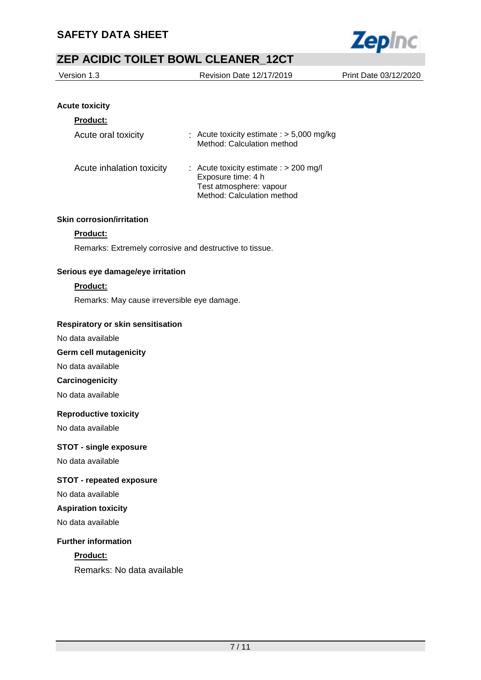

| Version 1.3 | Revision Date 12/17/2019 | Print Date 03/12/2020 |
|-------------|--------------------------|-----------------------|
|             |                          |                       |

## **Acute toxicity**

| <b>Product:</b>           |                                                                                                                           |
|---------------------------|---------------------------------------------------------------------------------------------------------------------------|
| Acute oral toxicity       | : Acute toxicity estimate : $>$ 5,000 mg/kg<br>Method: Calculation method                                                 |
| Acute inhalation toxicity | Acute toxicity estimate : > 200 mg/l<br>t.<br>Exposure time: 4 h<br>Test atmosphere: vapour<br>Method: Calculation method |

### **Skin corrosion/irritation**

## **Product:**

Remarks: Extremely corrosive and destructive to tissue.

### **Serious eye damage/eye irritation**

## **Product:**

Remarks: May cause irreversible eye damage.

#### **Respiratory or skin sensitisation**

No data available

#### **Germ cell mutagenicity**

No data available

#### **Carcinogenicity**

No data available

#### **Reproductive toxicity**

No data available

#### **STOT - single exposure**

No data available

### **STOT - repeated exposure**

No data available

## **Aspiration toxicity**

No data available

#### **Further information**

## **Product:**

Remarks: No data available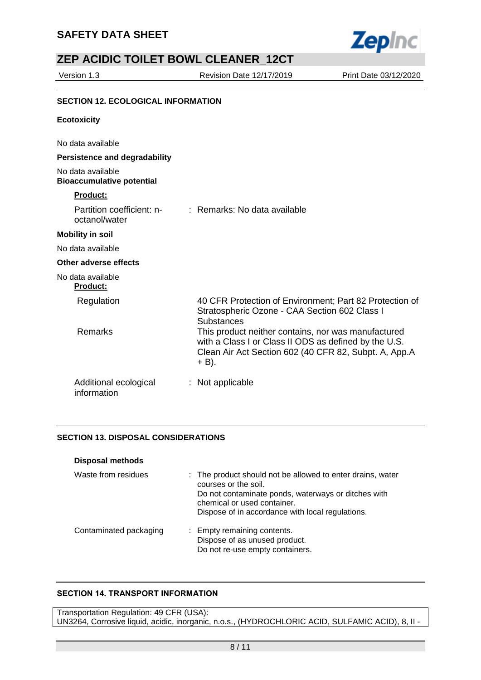

Version 1.3 Revision Date 12/17/2019 Print Date 03/12/2020

## **SECTION 12. ECOLOGICAL INFORMATION**

#### **Ecotoxicity**

No data available

#### **Persistence and degradability**

No data available **Bioaccumulative potential**

#### **Product:**

| Partition coefficient: n-<br>octanol/water | : Remarks: No data available                                                                                                                                                     |
|--------------------------------------------|----------------------------------------------------------------------------------------------------------------------------------------------------------------------------------|
| <b>Mobility in soil</b>                    |                                                                                                                                                                                  |
| No data available                          |                                                                                                                                                                                  |
| Other adverse effects                      |                                                                                                                                                                                  |
| No data available<br><b>Product:</b>       |                                                                                                                                                                                  |
| Regulation                                 | 40 CFR Protection of Environment; Part 82 Protection of<br>Stratospheric Ozone - CAA Section 602 Class I<br><b>Substances</b>                                                    |
| Remarks                                    | This product neither contains, nor was manufactured<br>with a Class I or Class II ODS as defined by the U.S.<br>Clean Air Act Section 602 (40 CFR 82, Subpt. A, App.A<br>$+$ B). |
| Additional ecological<br>information       | : Not applicable                                                                                                                                                                 |

## **SECTION 13. DISPOSAL CONSIDERATIONS**

| <b>Disposal methods</b> |                                                                                                                                                                                                                              |
|-------------------------|------------------------------------------------------------------------------------------------------------------------------------------------------------------------------------------------------------------------------|
| Waste from residues     | : The product should not be allowed to enter drains, water<br>courses or the soil.<br>Do not contaminate ponds, waterways or ditches with<br>chemical or used container.<br>Dispose of in accordance with local regulations. |
| Contaminated packaging  | : Empty remaining contents.<br>Dispose of as unused product.<br>Do not re-use empty containers.                                                                                                                              |

## **SECTION 14. TRANSPORT INFORMATION**

Transportation Regulation: 49 CFR (USA): UN3264, Corrosive liquid, acidic, inorganic, n.o.s., (HYDROCHLORIC ACID, SULFAMIC ACID), 8, II -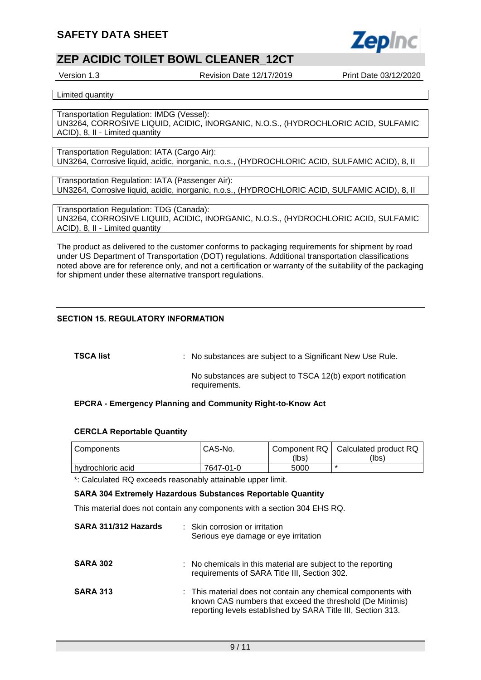

Version 1.3 Revision Date 12/17/2019 Print Date 03/12/2020

Limited quantity

Transportation Regulation: IMDG (Vessel): UN3264, CORROSIVE LIQUID, ACIDIC, INORGANIC, N.O.S., (HYDROCHLORIC ACID, SULFAMIC ACID), 8, II - Limited quantity

Transportation Regulation: IATA (Cargo Air): UN3264, Corrosive liquid, acidic, inorganic, n.o.s., (HYDROCHLORIC ACID, SULFAMIC ACID), 8, II

Transportation Regulation: IATA (Passenger Air): UN3264, Corrosive liquid, acidic, inorganic, n.o.s., (HYDROCHLORIC ACID, SULFAMIC ACID), 8, II

Transportation Regulation: TDG (Canada): UN3264, CORROSIVE LIQUID, ACIDIC, INORGANIC, N.O.S., (HYDROCHLORIC ACID, SULFAMIC ACID), 8, II - Limited quantity

The product as delivered to the customer conforms to packaging requirements for shipment by road under US Department of Transportation (DOT) regulations. Additional transportation classifications noted above are for reference only, and not a certification or warranty of the suitability of the packaging for shipment under these alternative transport regulations.

### **SECTION 15. REGULATORY INFORMATION**

**TSCA list Interpollent COV** : No substances are subject to a Significant New Use Rule.

No substances are subject to TSCA 12(b) export notification requirements.

### **EPCRA - Emergency Planning and Community Right-to-Know Act**

#### **CERCLA Reportable Quantity**

| Components          | CAS-No.   | (lbs) | Component RQ   Calculated product RQ<br>(lbs) |
|---------------------|-----------|-------|-----------------------------------------------|
| l hvdrochloric acid | 7647-01-0 | 5000  |                                               |

\*: Calculated RQ exceeds reasonably attainable upper limit.

**SARA 304 Extremely Hazardous Substances Reportable Quantity**

This material does not contain any components with a section 304 EHS RQ.

| SARA 311/312 Hazards | : Skin corrosion or irritation<br>Serious eye damage or eye irritation                                                                                                                    |  |
|----------------------|-------------------------------------------------------------------------------------------------------------------------------------------------------------------------------------------|--|
| <b>SARA 302</b>      | : No chemicals in this material are subject to the reporting<br>requirements of SARA Title III, Section 302.                                                                              |  |
| <b>SARA 313</b>      | : This material does not contain any chemical components with<br>known CAS numbers that exceed the threshold (De Minimis)<br>reporting levels established by SARA Title III, Section 313. |  |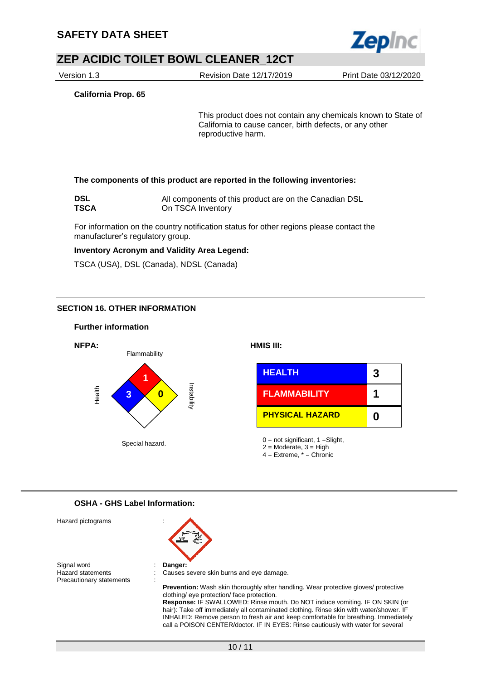

Version 1.3 Revision Date 12/17/2019 Print Date 03/12/2020

**California Prop. 65**

This product does not contain any chemicals known to State of California to cause cancer, birth defects, or any other reproductive harm.

#### **The components of this product are reported in the following inventories:**

| S<br>П |  |
|--------|--|
| c      |  |

**DSL** All components of this product are on the Canadian DSL **On TSCA Inventory** 

For information on the country notification status for other regions please contact the manufacturer's regulatory group.

#### **Inventory Acronym and Validity Area Legend:**

TSCA (USA), DSL (Canada), NDSL (Canada)

#### **SECTION 16. OTHER INFORMATION**

#### **Further information**



#### **OSHA - GHS Label Information:**

| Hazard pictograms                                                   |                                                                                                                                                                                                                                                                                                                                                                                                                                                                         |
|---------------------------------------------------------------------|-------------------------------------------------------------------------------------------------------------------------------------------------------------------------------------------------------------------------------------------------------------------------------------------------------------------------------------------------------------------------------------------------------------------------------------------------------------------------|
| Signal word<br><b>Hazard statements</b><br>Precautionary statements | Danger:<br>Causes severe skin burns and eye damage.<br><b>Prevention:</b> Wash skin thoroughly after handling. Wear protective gloves/ protective<br>clothing/ eye protection/ face protection.<br><b>Response: IF SWALLOWED: Rinse mouth. Do NOT induce vomiting. IF ON SKIN (or</b><br>hair): Take off immediately all contaminated clothing. Rinse skin with water/shower. IF<br>INHALED: Remove person to fresh air and keep comfortable for breathing. Immediately |

call a POISON CENTER/doctor. IF IN EYES: Rinse cautiously with water for several